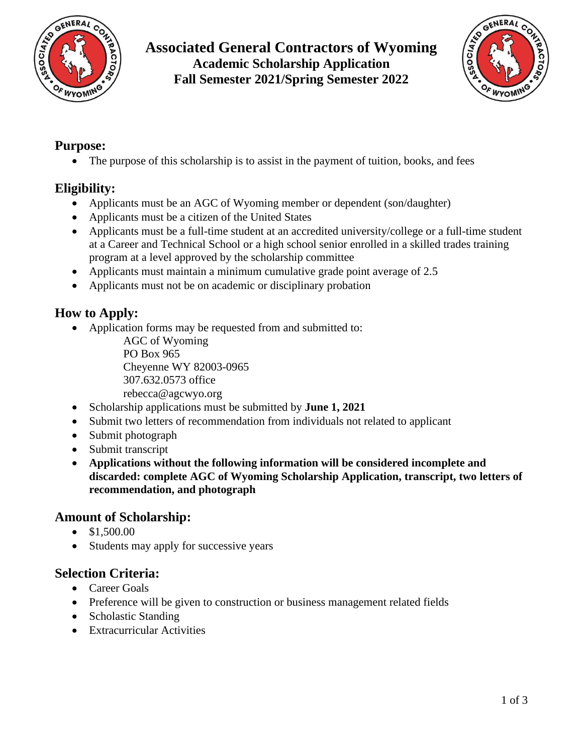

## **Associated General Contractors of Wyoming Academic Scholarship Application Fall Semester 2021/Spring Semester 2022**



### **Purpose:**

• The purpose of this scholarship is to assist in the payment of tuition, books, and fees

### **Eligibility:**

- Applicants must be an AGC of Wyoming member or dependent (son/daughter)
- Applicants must be a citizen of the United States
- Applicants must be a full-time student at an accredited university/college or a full-time student at a Career and Technical School or a high school senior enrolled in a skilled trades training program at a level approved by the scholarship committee
- Applicants must maintain a minimum cumulative grade point average of 2.5
- Applicants must not be on academic or disciplinary probation

### **How to Apply:**

• Application forms may be requested from and submitted to:

AGC of Wyoming PO Box 965 Cheyenne WY 82003-0965 307.632.0573 office rebecca@agcwyo.org

- Scholarship applications must be submitted by **June 1, 2021**
- Submit two letters of recommendation from individuals not related to applicant
- Submit photograph
- Submit transcript
- **Applications without the following information will be considered incomplete and discarded: complete AGC of Wyoming Scholarship Application, transcript, two letters of recommendation, and photograph**

#### **Amount of Scholarship:**

- \$1,500.00
- Students may apply for successive years

#### **Selection Criteria:**

- Career Goals
- Preference will be given to construction or business management related fields
- Scholastic Standing
- Extracurricular Activities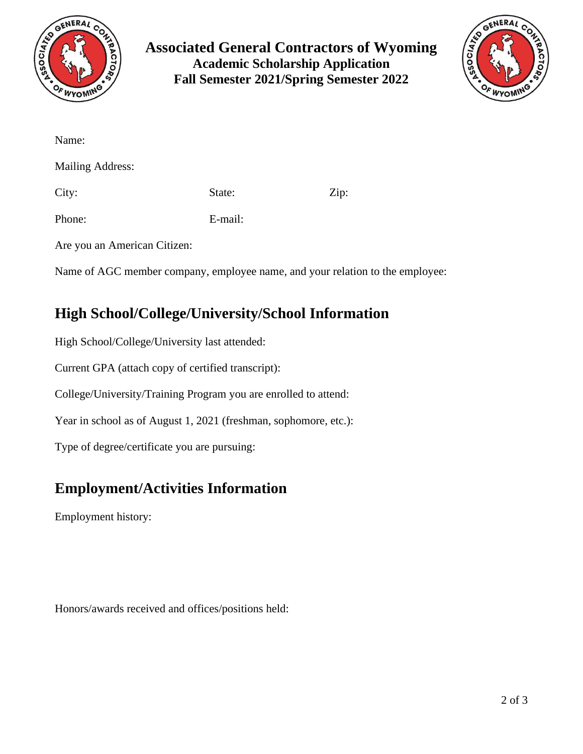

**Associated General Contractors of Wyoming Academic Scholarship Application Fall Semester 2021/Spring Semester 2022**



| Name:                   |         |      |
|-------------------------|---------|------|
| <b>Mailing Address:</b> |         |      |
| City:                   | State:  | Zip: |
| Phone:                  | E-mail: |      |
|                         |         |      |

Are you an American Citizen:

Name of AGC member company, employee name, and your relation to the employee:

## **High School/College/University/School Information**

High School/College/University last attended:

Current GPA (attach copy of certified transcript):

College/University/Training Program you are enrolled to attend:

Year in school as of August 1, 2021 (freshman, sophomore, etc.):

Type of degree/certificate you are pursuing:

# **Employment/Activities Information**

Employment history:

Honors/awards received and offices/positions held: